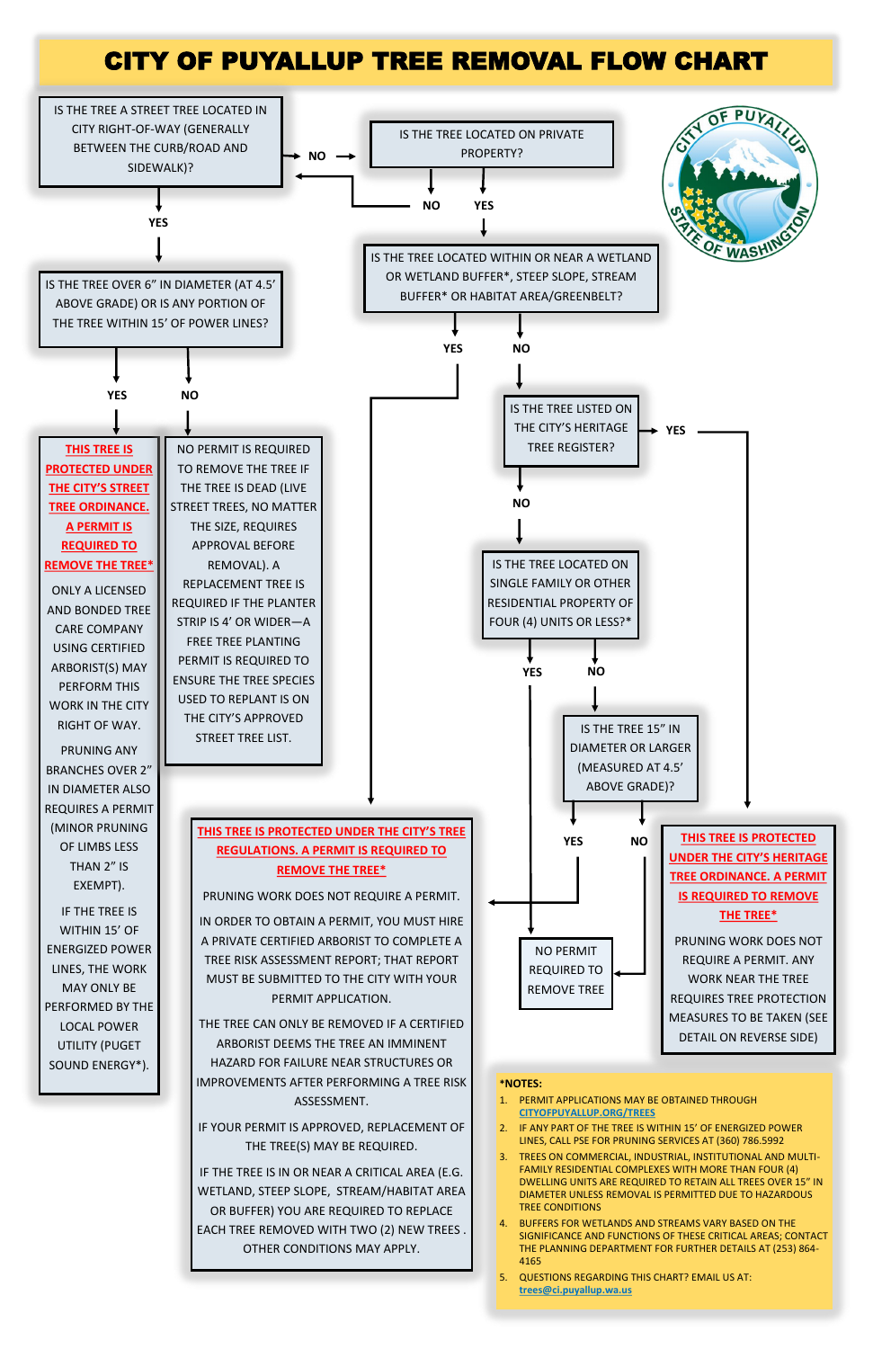# CITY OF PUYALLUP TREE REMOVAL FLOW CHART

PERFORMED BY THE LOCAL POWER UTILITY (PUGET SOUND ENERGY\*).



## MEASURES TO BE TAKEN (SEE DETAIL ON REVERSE SIDE)

### THE TREE CAN ONLY BE REMOVED IF A CERTIFIED ARBORIST DEEMS THE TREE AN IMMINENT HAZARD FOR FAILURE NEAR STRUCTURES OR IMPROVEMENTS AFTER PERFORMING A TREE RISK ASSESSMENT. IF YOUR PERMIT IS APPROVED, REPLACEMENT OF

THE TREE(S) MAY BE REQUIRED.

IF THE TREE IS IN OR NEAR A CRITICAL AREA (E.G. WETLAND, STEEP SLOPE, STREAM/HABITAT AREA OR BUFFER) YOU ARE REQUIRED TO REPLACE EACH TREE REMOVED WITH TWO (2) NEW TREES . OTHER CONDITIONS MAY APPLY.

#### **\*NOTES:**

- 1. PERMIT APPLICATIONS MAY BE OBTAINED THROUGH **CITYOFPUYALLUP.ORG/TREES**
- 2. IF ANY PART OF THE TREE IS WITHIN 15' OF ENERGIZED POWER LINES, CALL PSE FOR PRUNING SERVICES AT (360) 786.5992
- TREES ON COMMERCIAL, INDUSTRIAL, INSTITUTIONAL AND MULTI-FAMILY RESIDENTIAL COMPLEXES WITH MORE THAN FOUR (4) DWELLING UNITS ARE REQUIRED TO RETAIN ALL TREES OVER 15" IN DIAMETER UNLESS REMOVAL IS PERMITTED DUE TO HAZARDOUS TREE CONDITIONS
- 4. BUFFERS FOR WETLANDS AND STREAMS VARY BASED ON THE SIGNIFICANCE AND FUNCTIONS OF THESE CRITICAL AREAS; CONTACT THE PLANNING DEPARTMENT FOR FURTHER DETAILS AT (253) 864- 4165
- 5. QUESTIONS REGARDING THIS CHART? EMAIL US AT: **trees@ci.puyallup.wa.us**